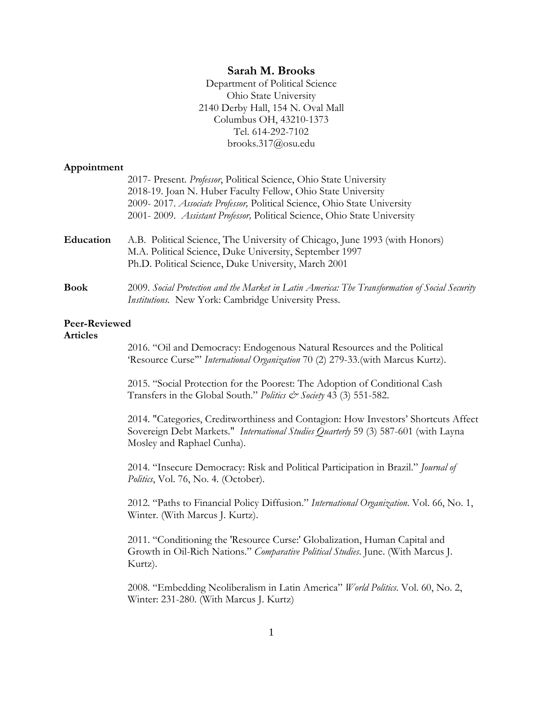## **Sarah M. Brooks**

Department of Political Science Ohio State University 2140 Derby Hall, 154 N. Oval Mall Columbus OH, 43210-1373 Tel. 614-292-7102 brooks.317@osu.edu

#### **Appointment**

| 2017- Present. Professor, Political Science, Ohio State University                                                                                    |
|-------------------------------------------------------------------------------------------------------------------------------------------------------|
| 2018-19. Joan N. Huber Faculty Fellow, Ohio State University                                                                                          |
| 2009-2017. Associate Professor, Political Science, Ohio State University                                                                              |
| 2001-2009. Assistant Professor, Political Science, Ohio State University                                                                              |
| A.B. Political Science, The University of Chicago, June 1993 (with Honors)<br>M.A. Political Science, Duke University, September 1997                 |
| Ph.D. Political Science, Duke University, March 2001                                                                                                  |
| 2009. Social Protection and the Market in Latin America: The Transformation of Social Security<br>Institutions. New York: Cambridge University Press. |
|                                                                                                                                                       |

## **Peer-Reviewed**

### **Articles**

2016. "Oil and Democracy: Endogenous Natural Resources and the Political 'Resource Curse'" *International Organization* 70 (2) 279-33.(with Marcus Kurtz).

2015. "Social Protection for the Poorest: The Adoption of Conditional Cash Transfers in the Global South." *Politics & Society* 43 (3) 551-582.

2014. "Categories, Creditworthiness and Contagion: How Investors' Shortcuts Affect Sovereign Debt Markets." *International Studies Quarterly* 59 (3) 587-601 (with Layna Mosley and Raphael Cunha).

2014. "Insecure Democracy: Risk and Political Participation in Brazil." *Journal of Politics*, Vol. 76, No. 4. (October).

2012. "Paths to Financial Policy Diffusion." *International Organization*. Vol. 66, No. 1, Winter. (With Marcus J. Kurtz).

2011. "Conditioning the 'Resource Curse:' Globalization, Human Capital and Growth in Oil-Rich Nations." *Comparative Political Studies*. June. (With Marcus J. Kurtz).

2008. "Embedding Neoliberalism in Latin America" *World Politics*. Vol. 60, No. 2, Winter: 231-280. (With Marcus J. Kurtz)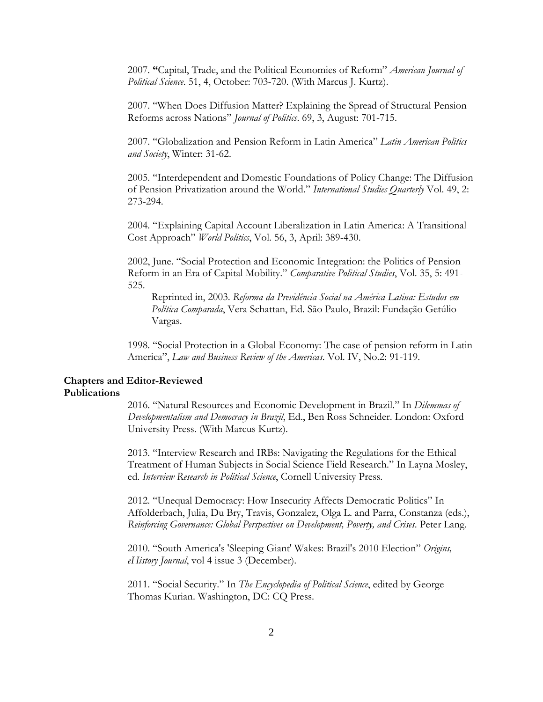2007. **"**Capital, Trade, and the Political Economies of Reform" *American Journal of Political Science*. 51, 4, October: 703-720. (With Marcus J. Kurtz).

2007. "When Does Diffusion Matter? Explaining the Spread of Structural Pension Reforms across Nations" *Journal of Politics*. 69, 3, August: 701-715.

2007. "Globalization and Pension Reform in Latin America" *Latin American Politics and Society*, Winter: 31-62.

2005. "Interdependent and Domestic Foundations of Policy Change: The Diffusion of Pension Privatization around the World." *International Studies Quarterly* Vol. 49, 2: 273-294.

2004. "Explaining Capital Account Liberalization in Latin America: A Transitional Cost Approach" *World Politics*, Vol. 56, 3, April: 389-430.

2002, June. "Social Protection and Economic Integration: the Politics of Pension Reform in an Era of Capital Mobility." *Comparative Political Studies*, Vol. 35, 5: 491- 525.

Reprinted in, 2003. *Reforma da Previdência Social na América Latina: Estudos em Política Comparada*, Vera Schattan, Ed. São Paulo, Brazil: Fundação Getúlio Vargas.

1998. "Social Protection in a Global Economy: The case of pension reform in Latin America", *Law and Business Review of the Americas*. Vol. IV, No.2: 91-119.

# **Chapters and Editor-Reviewed**

### **Publications**

2016. "Natural Resources and Economic Development in Brazil." In *Dilemmas of Developmentalism and Democracy in Brazil*, Ed., Ben Ross Schneider. London: Oxford University Press. (With Marcus Kurtz).

2013. "Interview Research and IRBs: Navigating the Regulations for the Ethical Treatment of Human Subjects in Social Science Field Research." In Layna Mosley, ed. *Interview Research in Political Science*, Cornell University Press.

2012. "Unequal Democracy: How Insecurity Affects Democratic Politics" In Affolderbach, Julia, Du Bry, Travis, Gonzalez, Olga L. and Parra, Constanza (eds.), *Reinforcing Governance: Global Perspectives on Development, Poverty, and Crises*. Peter Lang.

2010. "South America's 'Sleeping Giant' Wakes: Brazil's 2010 Election" *Origins, eHistory Journal*, vol 4 issue 3 (December).

2011. "Social Security." In *The Encyclopedia of Political Science*, edited by George Thomas Kurian. Washington, DC: CQ Press.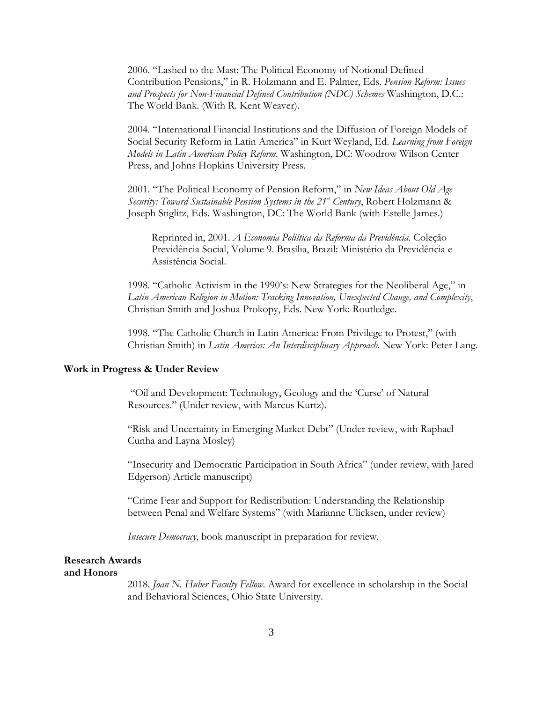2006. "Lashed to the Mast: The Political Economy of Notional Defined Contribution Pensions," in R. Holzmann and E. Palmer, Eds. *Pension Reform: Issues and Prospects for Non-Financial Defined Contribution (NDC) Schemes* Washington, D.C.: The World Bank. (With R. Kent Weaver).

2004. "International Financial Institutions and the Diffusion of Foreign Models of Social Security Reform in Latin America" in Kurt Weyland, Ed. *Learning from Foreign Models in Latin American Policy Reform*. Washington, DC: Woodrow Wilson Center Press, and Johns Hopkins University Press.

2001. "The Political Economy of Pension Reform," in *New Ideas About Old Age Security: Toward Sustainable Pension Systems in the 21<sup>st</sup> Century*, Robert Holzmann & Joseph Stiglitz, Eds. Washington, DC: The World Bank (with Estelle James.)

Reprinted in, 2001. *A Economia Poliítica da Reforma da Previdência.* Coleção Previdência Social, Volume 9. Brasília, Brazil: Ministério da Previdência e Assistência Social.

1998. "Catholic Activism in the 1990's: New Strategies for the Neoliberal Age," in *Latin American Religion in Motion: Tracking Innovation, Unexpected Change, and Complexity*, Christian Smith and Joshua Prokopy, Eds. New York: Routledge.

1998. "The Catholic Church in Latin America: From Privilege to Protest," (with Christian Smith) in *Latin America: An Interdisciplinary Approach*. New York: Peter Lang.

### **Work in Progress & Under Review**

"Oil and Development: Technology, Geology and the 'Curse' of Natural Resources." (Under review, with Marcus Kurtz).

"Risk and Uncertainty in Emerging Market Debt" (Under review, with Raphael Cunha and Layna Mosley)

"Insecurity and Democratic Participation in South Africa" (under review, with Jared Edgerson) Article manuscript)

"Crime Fear and Support for Redistribution: Understanding the Relationship between Penal and Welfare Systems" (with Marianne Ulicksen, under review)

*Insecure Democracy*, book manuscript in preparation for review.

### **Research Awards and Honors**

2018. *Joan N. Huber Faculty Fellow*. Award for excellence in scholarship in the Social and Behavioral Sciences, Ohio State University.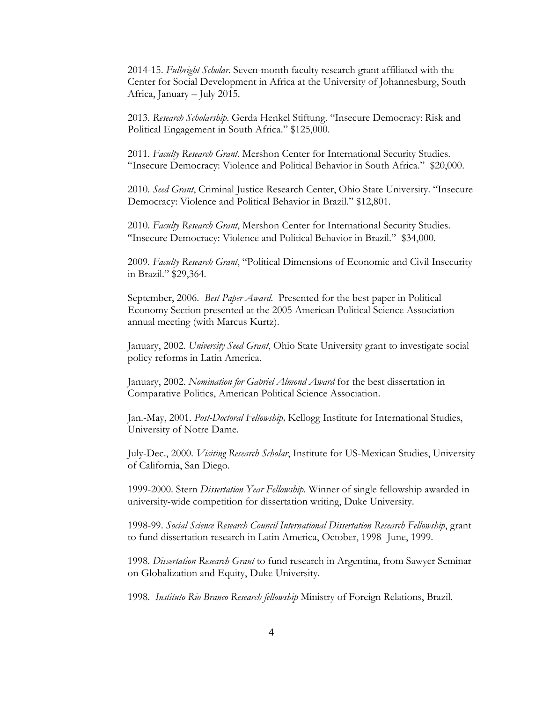2014-15. *Fulbright Scholar*. Seven-month faculty research grant affiliated with the Center for Social Development in Africa at the University of Johannesburg, South Africa, January – July 2015.

2013. *Research Scholarship*. Gerda Henkel Stiftung. "Insecure Democracy: Risk and Political Engagement in South Africa." \$125,000.

2011. *Faculty Research Grant*. Mershon Center for International Security Studies. "Insecure Democracy: Violence and Political Behavior in South Africa." \$20,000.

2010. *Seed Grant*, Criminal Justice Research Center, Ohio State University. "Insecure Democracy: Violence and Political Behavior in Brazil." \$12,801.

2010. *Faculty Research Grant*, Mershon Center for International Security Studies. "Insecure Democracy: Violence and Political Behavior in Brazil." \$34,000.

2009. *Faculty Research Grant*, "Political Dimensions of Economic and Civil Insecurity in Brazil." \$29,364.

September, 2006. *Best Paper Award*. Presented for the best paper in Political Economy Section presented at the 2005 American Political Science Association annual meeting (with Marcus Kurtz).

January, 2002. *University Seed Grant*, Ohio State University grant to investigate social policy reforms in Latin America.

January, 2002. *Nomination for Gabriel Almond Award* for the best dissertation in Comparative Politics, American Political Science Association.

Jan.-May, 2001. *Post-Doctoral Fellowship,* Kellogg Institute for International Studies, University of Notre Dame.

July-Dec., 2000. *Visiting Research Scholar*, Institute for US-Mexican Studies, University of California, San Diego.

1999-2000. Stern *Dissertation Year Fellowship*. Winner of single fellowship awarded in university-wide competition for dissertation writing, Duke University.

1998-99. *Social Science Research Council International Dissertation Research Fellowship*, grant to fund dissertation research in Latin America, October, 1998- June, 1999.

1998. *Dissertation Research Grant* to fund research in Argentina, from Sawyer Seminar on Globalization and Equity, Duke University.

1998. *Instituto Rio Branco Research fellowship* Ministry of Foreign Relations, Brazil.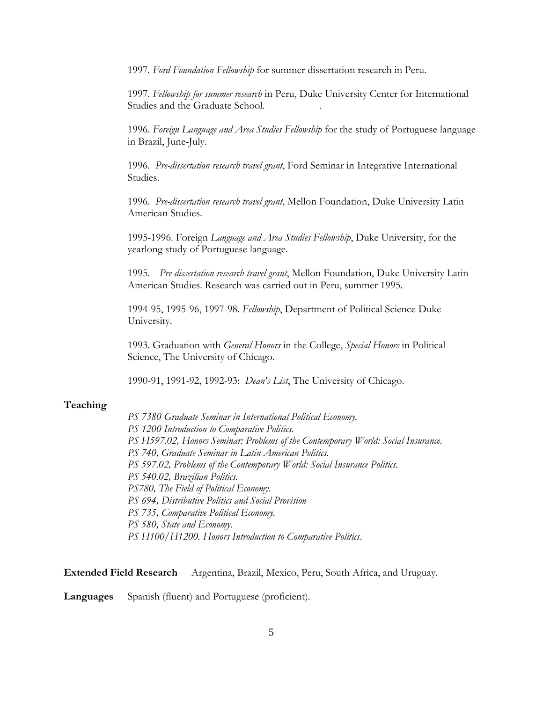1997. *Ford Foundation Fellowship* for summer dissertation research in Peru.

1997. *Fellowship for summer research* in Peru, Duke University Center for International Studies and the Graduate School. .

1996. *Foreign Language and Area Studies Fellowship* for the study of Portuguese language in Brazil, June-July.

1996. *Pre-dissertation research travel grant*, Ford Seminar in Integrative International Studies.

1996. *Pre-dissertation research travel grant*, Mellon Foundation, Duke University Latin American Studies.

1995-1996. Foreign *Language and Area Studies Fellowship*, Duke University, for the yearlong study of Portuguese language.

1995. *Pre-dissertation research travel grant*, Mellon Foundation, Duke University Latin American Studies. Research was carried out in Peru, summer 1995.

1994-95, 1995-96, 1997-98. *Fellowship*, Department of Political Science Duke University.

1993. Graduation with *General Honors* in the College, *Special Honors* in Political Science, The University of Chicago.

1990-91, 1991-92, 1992-93: *Dean's List*, The University of Chicago.

### **Teaching**

*PS 7380 Graduate Seminar in International Political Economy. PS 1200 Introduction to Comparative Politics. PS H597.02, Honors Seminar: Problems of the Contemporary World: Social Insurance. PS 740, Graduate Seminar in Latin American Politics. PS 597.02, Problems of the Contemporary World: Social Insurance Politics. PS 540.02, Brazilian Politics. PS780, The Field of Political Economy*. *PS 694, Distributive Politics and Social Provision PS 735, Comparative Political Economy. PS 580, State and Economy. PS H100/H1200. Honors Introduction to Comparative Politics*.

**Extended Field Research** Argentina, Brazil, Mexico, Peru, South Africa, and Uruguay.

**Languages** Spanish (fluent) and Portuguese (proficient).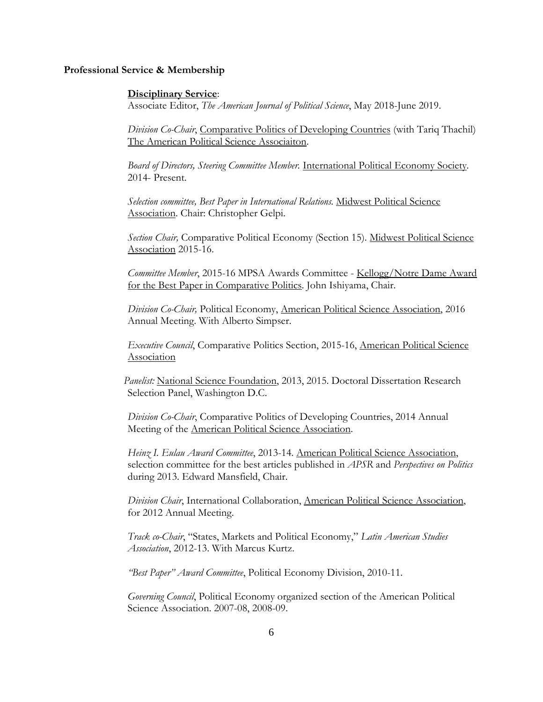#### **Professional Service & Membership**

### **Disciplinary Service**:

Associate Editor, *The American Journal of Political Science*, May 2018-June 2019.

*Division Co-Chair*, Comparative Politics of Developing Countries (with Tariq Thachil) The American Political Science Associaiton.

*Board of Directors, Steering Committee Member.* International Political Economy Society*.* 2014- Present.

*Selection committee, Best Paper in International Relations.* Midwest Political Science Association. Chair: Christopher Gelpi.

*Section Chair,* Comparative Political Economy (Section 15). Midwest Political Science Association 2015-16.

*Committee Member*, 2015-16 MPSA Awards Committee - Kellogg/Notre Dame Award for the Best Paper in Comparative Politics. John Ishiyama, Chair.

*Division Co-Chair,* Political Economy, American Political Science Association, 2016 Annual Meeting. With Alberto Simpser.

*Executive Council*, Comparative Politics Section, 2015-16, American Political Science Association

*Panelist:* National Science Foundation, 2013, 2015. Doctoral Dissertation Research Selection Panel, Washington D.C.

*Division Co-Chair*, Comparative Politics of Developing Countries, 2014 Annual Meeting of the American Political Science Association.

*Heinz I. Eulau Award Committee*, 2013-14. American Political Science Association, selection committee for the best articles published in *APSR* and *Perspectives on Politics*  during 2013. Edward Mansfield, Chair.

*Division Chair*, International Collaboration, American Political Science Association, for 2012 Annual Meeting.

*Track co-Chair*, "States, Markets and Political Economy," *Latin American Studies Association*, 2012-13. With Marcus Kurtz.

*"Best Paper" Award Committee*, Political Economy Division, 2010-11.

*Governing Council*, Political Economy organized section of the American Political Science Association. 2007-08, 2008-09.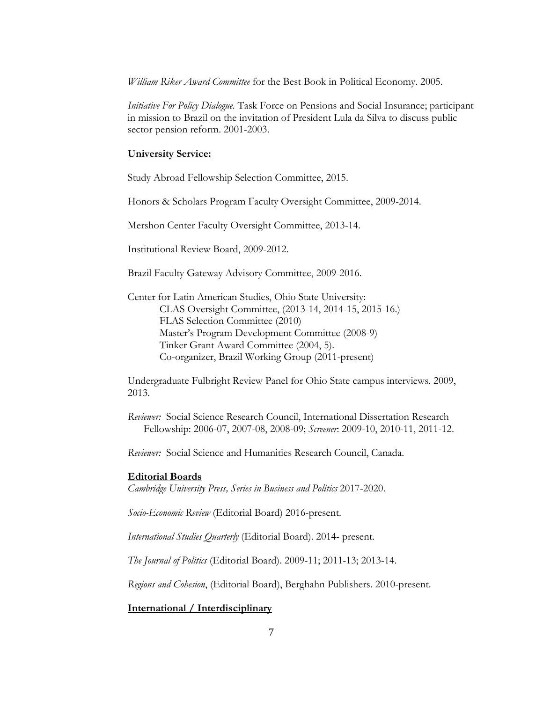*William Riker Award Committee* for the Best Book in Political Economy. 2005.

*Initiative For Policy Dialogue.* Task Force on Pensions and Social Insurance; participant in mission to Brazil on the invitation of President Lula da Silva to discuss public sector pension reform. 2001-2003.

### **University Service:**

Study Abroad Fellowship Selection Committee, 2015.

Honors & Scholars Program Faculty Oversight Committee, 2009-2014.

Mershon Center Faculty Oversight Committee, 2013-14.

Institutional Review Board, 2009-2012.

Brazil Faculty Gateway Advisory Committee, 2009-2016.

Center for Latin American Studies, Ohio State University: CLAS Oversight Committee, (2013-14, 2014-15, 2015-16.) FLAS Selection Committee (2010) Master's Program Development Committee (2008-9) Tinker Grant Award Committee (2004, 5). Co-organizer, Brazil Working Group (2011-present)

Undergraduate Fulbright Review Panel for Ohio State campus interviews. 2009, 2013.

*Reviewer:* Social Science Research Council, International Dissertation Research Fellowship: 2006-07, 2007-08, 2008-09; *Screener*: 2009-10, 2010-11, 2011-12.

*Reviewer:* Social Science and Humanities Research Council, Canada.

### **Editorial Boards**

*Cambridge University Press, Series in Business and Politics* 2017-2020.

*Socio-Economic Review* (Editorial Board) 2016-present.

*International Studies Quarterly* (Editorial Board). 2014- present.

*The Journal of Politics* (Editorial Board). 2009-11; 2011-13; 2013-14.

*Regions and Cohesion*, (Editorial Board), Berghahn Publishers. 2010-present.

**International / Interdisciplinary**